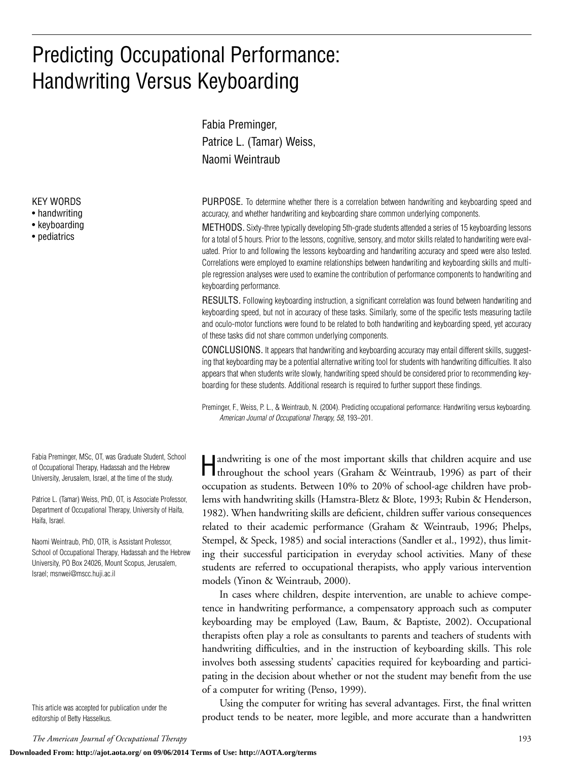# Predicting Occupational Performance: Handwriting Versus Keyboarding

Fabia Preminger, Patrice L. (Tamar) Weiss, Naomi Weintraub

PURPOSE. To determine whether there is a correlation between handwriting and keyboarding speed and accuracy, and whether handwriting and keyboarding share common underlying components.

METHODS. Sixty-three typically developing 5th-grade students attended a series of 15 keyboarding lessons for a total of 5 hours. Prior to the lessons, cognitive, sensory, and motor skills related to handwriting were evaluated. Prior to and following the lessons keyboarding and handwriting accuracy and speed were also tested. Correlations were employed to examine relationships between handwriting and keyboarding skills and multiple regression analyses were used to examine the contribution of performance components to handwriting and keyboarding performance.

RESULTS. Following keyboarding instruction, a significant correlation was found between handwriting and keyboarding speed, but not in accuracy of these tasks. Similarly, some of the specific tests measuring tactile and oculo-motor functions were found to be related to both handwriting and keyboarding speed, yet accuracy of these tasks did not share common underlying components.

CONCLUSIONS. It appears that handwriting and keyboarding accuracy may entail different skills, suggesting that keyboarding may be a potential alternative writing tool for students with handwriting difficulties. It also appears that when students write slowly, handwriting speed should be considered prior to recommending keyboarding for these students. Additional research is required to further support these findings.

Preminger, F., Weiss, P. L., & Weintraub, N. (2004). Predicting occupational performance: Handwriting versus keyboarding. *American Journal of Occupational Therapy, 58,* 193–201.

Handwriting is one of the most important skills that children acquire and use throughout the school years (Graham & Weintraub, 1996) as part of their occupation as students. Between 10% to 20% of school-age children have problems with handwriting skills (Hamstra-Bletz & Blote, 1993; Rubin & Henderson, 1982). When handwriting skills are deficient, children suffer various consequences related to their academic performance (Graham & Weintraub, 1996; Phelps, Stempel, & Speck, 1985) and social interactions (Sandler et al., 1992), thus limiting their successful participation in everyday school activities. Many of these students are referred to occupational therapists, who apply various intervention models (Yinon & Weintraub, 2000).

In cases where children, despite intervention, are unable to achieve competence in handwriting performance, a compensatory approach such as computer keyboarding may be employed (Law, Baum, & Baptiste, 2002). Occupational therapists often play a role as consultants to parents and teachers of students with handwriting difficulties, and in the instruction of keyboarding skills. This role involves both assessing students' capacities required for keyboarding and participating in the decision about whether or not the student may benefit from the use of a computer for writing (Penso, 1999).

Using the computer for writing has several advantages. First, the final written product tends to be neater, more legible, and more accurate than a handwritten

KEY WORDS

- handwriting
- keyboarding
- pediatrics

Fabia Preminger, MSc, OT, was Graduate Student, School of Occupational Therapy, Hadassah and the Hebrew University, Jerusalem, Israel, at the time of the study.

Patrice L. (Tamar) Weiss, PhD, OT, is Associate Professor, Department of Occupational Therapy, University of Haifa, Haifa, Israel.

Naomi Weintraub, PhD, OTR, is Assistant Professor, School of Occupational Therapy, Hadassah and the Hebrew University, PO Box 24026, Mount Scopus, Jerusalem, Israel; msnwei@mscc.huji.ac.il

This article was accepted for publication under the editorship of Betty Hasselkus.

*The American Journal of Occupational Therapy* 193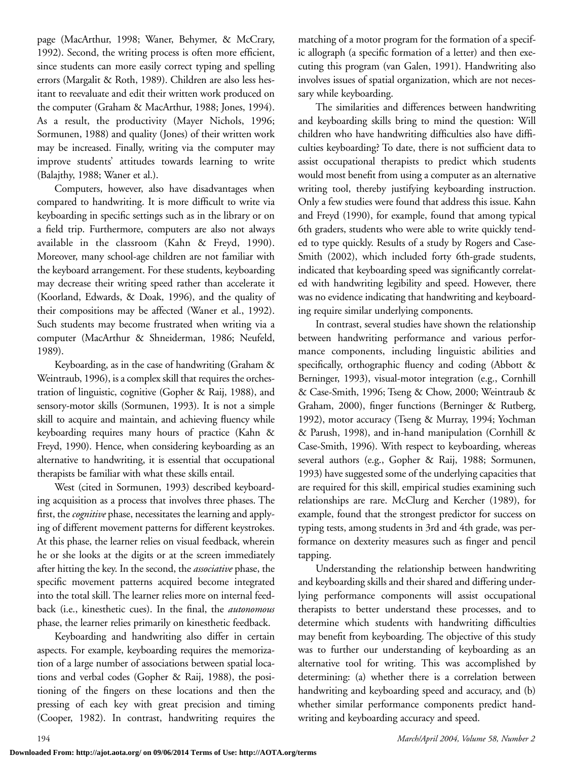page (MacArthur, 1998; Waner, Behymer, & McCrary, 1992). Second, the writing process is often more efficient, since students can more easily correct typing and spelling errors (Margalit & Roth, 1989). Children are also less hesitant to reevaluate and edit their written work produced on the computer (Graham & MacArthur, 1988; Jones, 1994). As a result, the productivity (Mayer Nichols, 1996; Sormunen, 1988) and quality (Jones) of their written work may be increased. Finally, writing via the computer may improve students' attitudes towards learning to write (Balajthy, 1988; Waner et al.).

Computers, however, also have disadvantages when compared to handwriting. It is more difficult to write via keyboarding in specific settings such as in the library or on a field trip. Furthermore, computers are also not always available in the classroom (Kahn & Freyd, 1990). Moreover, many school-age children are not familiar with the keyboard arrangement. For these students, keyboarding may decrease their writing speed rather than accelerate it (Koorland, Edwards, & Doak, 1996), and the quality of their compositions may be affected (Waner et al., 1992). Such students may become frustrated when writing via a computer (MacArthur & Shneiderman, 1986; Neufeld, 1989).

Keyboarding, as in the case of handwriting (Graham & Weintraub, 1996), is a complex skill that requires the orchestration of linguistic, cognitive (Gopher & Raij, 1988), and sensory-motor skills (Sormunen, 1993). It is not a simple skill to acquire and maintain, and achieving fluency while keyboarding requires many hours of practice (Kahn & Freyd, 1990). Hence, when considering keyboarding as an alternative to handwriting, it is essential that occupational therapists be familiar with what these skills entail.

West (cited in Sormunen, 1993) described keyboarding acquisition as a process that involves three phases. The first, the *cognitive* phase, necessitates the learning and applying of different movement patterns for different keystrokes. At this phase, the learner relies on visual feedback, wherein he or she looks at the digits or at the screen immediately after hitting the key. In the second, the *associative* phase, the specific movement patterns acquired become integrated into the total skill. The learner relies more on internal feedback (i.e., kinesthetic cues). In the final, the *autonomous* phase, the learner relies primarily on kinesthetic feedback.

Keyboarding and handwriting also differ in certain aspects. For example, keyboarding requires the memorization of a large number of associations between spatial locations and verbal codes (Gopher & Raij, 1988), the positioning of the fingers on these locations and then the pressing of each key with great precision and timing (Cooper, 1982). In contrast, handwriting requires the

matching of a motor program for the formation of a specific allograph (a specific formation of a letter) and then executing this program (van Galen, 1991). Handwriting also involves issues of spatial organization, which are not necessary while keyboarding.

The similarities and differences between handwriting and keyboarding skills bring to mind the question: Will children who have handwriting difficulties also have difficulties keyboarding? To date, there is not sufficient data to assist occupational therapists to predict which students would most benefit from using a computer as an alternative writing tool, thereby justifying keyboarding instruction. Only a few studies were found that address this issue. Kahn and Freyd (1990), for example, found that among typical 6th graders, students who were able to write quickly tended to type quickly. Results of a study by Rogers and Case-Smith (2002), which included forty 6th-grade students, indicated that keyboarding speed was significantly correlated with handwriting legibility and speed. However, there was no evidence indicating that handwriting and keyboarding require similar underlying components.

In contrast, several studies have shown the relationship between handwriting performance and various performance components, including linguistic abilities and specifically, orthographic fluency and coding (Abbott & Berninger, 1993), visual-motor integration (e.g., Cornhill & Case-Smith, 1996; Tseng & Chow, 2000; Weintraub & Graham, 2000), finger functions (Berninger & Rutberg, 1992), motor accuracy (Tseng & Murray, 1994; Yochman & Parush, 1998), and in-hand manipulation (Cornhill & Case-Smith, 1996). With respect to keyboarding, whereas several authors (e.g., Gopher & Raij, 1988; Sormunen, 1993) have suggested some of the underlying capacities that are required for this skill, empirical studies examining such relationships are rare. McClurg and Kercher (1989), for example, found that the strongest predictor for success on typing tests, among students in 3rd and 4th grade, was performance on dexterity measures such as finger and pencil tapping.

Understanding the relationship between handwriting and keyboarding skills and their shared and differing underlying performance components will assist occupational therapists to better understand these processes, and to determine which students with handwriting difficulties may benefit from keyboarding. The objective of this study was to further our understanding of keyboarding as an alternative tool for writing. This was accomplished by determining: (a) whether there is a correlation between handwriting and keyboarding speed and accuracy, and (b) whether similar performance components predict handwriting and keyboarding accuracy and speed.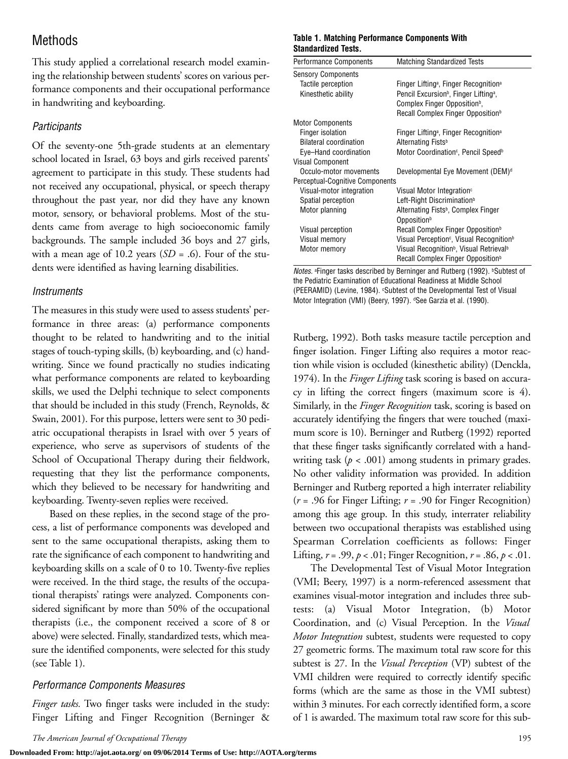# Methods

This study applied a correlational research model examining the relationship between students' scores on various performance components and their occupational performance in handwriting and keyboarding.

#### *Participants*

Of the seventy-one 5th-grade students at an elementary school located in Israel, 63 boys and girls received parents' agreement to participate in this study. These students had not received any occupational, physical, or speech therapy throughout the past year, nor did they have any known motor, sensory, or behavioral problems. Most of the students came from average to high socioeconomic family backgrounds. The sample included 36 boys and 27 girls, with a mean age of 10.2 years  $(SD = .6)$ . Four of the students were identified as having learning disabilities.

#### *Instruments*

The measures in this study were used to assess students' performance in three areas: (a) performance components thought to be related to handwriting and to the initial stages of touch-typing skills, (b) keyboarding, and (c) handwriting. Since we found practically no studies indicating what performance components are related to keyboarding skills, we used the Delphi technique to select components that should be included in this study (French, Reynolds, & Swain, 2001). For this purpose, letters were sent to 30 pediatric occupational therapists in Israel with over 5 years of experience, who serve as supervisors of students of the School of Occupational Therapy during their fieldwork, requesting that they list the performance components, which they believed to be necessary for handwriting and keyboarding. Twenty-seven replies were received.

Based on these replies, in the second stage of the process, a list of performance components was developed and sent to the same occupational therapists, asking them to rate the significance of each component to handwriting and keyboarding skills on a scale of 0 to 10. Twenty-five replies were received. In the third stage, the results of the occupational therapists' ratings were analyzed. Components considered significant by more than 50% of the occupational therapists (i.e., the component received a score of 8 or above) were selected. Finally, standardized tests, which measure the identified components, were selected for this study (see Table 1).

#### *Performance Components Measures*

*Finger tasks.* Two finger tasks were included in the study: Finger Lifting and Finger Recognition (Berninger &

#### **Table 1. Matching Performance Components With Standardized Tests.**

| <b>Performance Components</b>   | <b>Matching Standardized Tests</b>                               |  |  |
|---------------------------------|------------------------------------------------------------------|--|--|
| <b>Sensory Components</b>       |                                                                  |  |  |
| Tactile perception              | Finger Lifting <sup>a</sup> , Finger Recognition <sup>a</sup>    |  |  |
| Kinesthetic ability             | Pencil Excursion <sup>b</sup> , Finger Lifting <sup>a</sup> ,    |  |  |
|                                 | Complex Finger Opposition <sup>b</sup> ,                         |  |  |
|                                 | Recall Complex Finger Opposition <sup>b</sup>                    |  |  |
| <b>Motor Components</b>         |                                                                  |  |  |
| Finger isolation                | Finger Lifting <sup>a</sup> , Finger Recognition <sup>a</sup>    |  |  |
| <b>Bilateral coordination</b>   | Alternating Fists <sup>b</sup>                                   |  |  |
| Eye-Hand coordination           | Motor Coordination <sup>c</sup> , Pencil Speed <sup>b</sup>      |  |  |
| <b>Visual Component</b>         |                                                                  |  |  |
| Occulo-motor movements          | Developmental Eye Movement (DEM) <sup>d</sup>                    |  |  |
| Perceptual-Cognitive Components |                                                                  |  |  |
| Visual-motor integration        | Visual Motor Integration <sup>c</sup>                            |  |  |
| Spatial perception              | Left-Right Discrimination <sup>b</sup>                           |  |  |
| Motor planning                  | Alternating Fists <sup>b</sup> , Complex Finger                  |  |  |
|                                 | Opposition <sup>b</sup>                                          |  |  |
| Visual perception               | Recall Complex Finger Opposition <sup>b</sup>                    |  |  |
| Visual memory                   | Visual Perception <sup>c</sup> , Visual Recognition <sup>b</sup> |  |  |
| Motor memory                    | Visual Recognition <sup>b</sup> , Visual Retrieval <sup>b</sup>  |  |  |
|                                 | Recall Complex Finger Opposition <sup>b</sup>                    |  |  |
|                                 |                                                                  |  |  |

*Notes.* <sup>a</sup> Finger tasks described by Berninger and Rutberg (1992). **bSubtest of** the Pediatric Examination of Educational Readiness at Middle School (PEERAMID) (Levine, 1984). CSubtest of the Developmental Test of Visual Motor Integration (VMI) (Beery, 1997). <sup>d</sup>See Garzia et al. (1990).

Rutberg, 1992). Both tasks measure tactile perception and finger isolation. Finger Lifting also requires a motor reaction while vision is occluded (kinesthetic ability) (Denckla, 1974). In the *Finger Lifting* task scoring is based on accuracy in lifting the correct fingers (maximum score is 4). Similarly, in the *Finger Recognition* task, scoring is based on accurately identifying the fingers that were touched (maximum score is 10). Berninger and Rutberg (1992) reported that these finger tasks significantly correlated with a handwriting task (*p* < .001) among students in primary grades. No other validity information was provided. In addition Berninger and Rutberg reported a high interrater reliability (*r* = .96 for Finger Lifting; *r* = .90 for Finger Recognition) among this age group. In this study, interrater reliability between two occupational therapists was established using Spearman Correlation coefficients as follows: Finger Lifting,  $r = .99$ ,  $p < .01$ ; Finger Recognition,  $r = .86$ ,  $p < .01$ .

The Developmental Test of Visual Motor Integration (VMI; Beery, 1997) is a norm-referenced assessment that examines visual-motor integration and includes three subtests: (a) Visual Motor Integration, (b) Motor Coordination, and (c) Visual Perception. In the *Visual Motor Integration* subtest, students were requested to copy 27 geometric forms. The maximum total raw score for this subtest is 27. In the *Visual Perception* (VP) subtest of the VMI children were required to correctly identify specific forms (which are the same as those in the VMI subtest) within 3 minutes. For each correctly identified form, a score of 1 is awarded. The maximum total raw score for this sub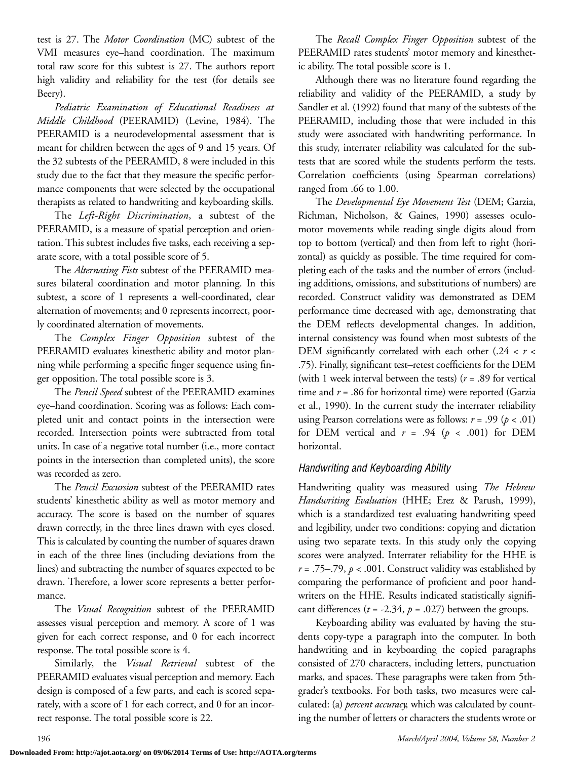test is 27. The *Motor Coordination* (MC) subtest of the VMI measures eye–hand coordination. The maximum total raw score for this subtest is 27. The authors report high validity and reliability for the test (for details see Beery).

*Pediatric Examination of Educational Readiness at Middle Childhood* (PEERAMID) (Levine, 1984). The PEERAMID is a neurodevelopmental assessment that is meant for children between the ages of 9 and 15 years. Of the 32 subtests of the PEERAMID, 8 were included in this study due to the fact that they measure the specific performance components that were selected by the occupational therapists as related to handwriting and keyboarding skills.

The *Left-Right Discrimination*, a subtest of the PEERAMID, is a measure of spatial perception and orientation. This subtest includes five tasks, each receiving a separate score, with a total possible score of 5.

The *Alternating Fists* subtest of the PEERAMID measures bilateral coordination and motor planning. In this subtest, a score of 1 represents a well-coordinated, clear alternation of movements; and 0 represents incorrect, poorly coordinated alternation of movements.

The *Complex Finger Opposition* subtest of the PEERAMID evaluates kinesthetic ability and motor planning while performing a specific finger sequence using finger opposition. The total possible score is 3.

The *Pencil Speed* subtest of the PEERAMID examines eye–hand coordination. Scoring was as follows: Each completed unit and contact points in the intersection were recorded. Intersection points were subtracted from total units. In case of a negative total number (i.e., more contact points in the intersection than completed units), the score was recorded as zero.

The *Pencil Excursion* subtest of the PEERAMID rates students' kinesthetic ability as well as motor memory and accuracy. The score is based on the number of squares drawn correctly, in the three lines drawn with eyes closed. This is calculated by counting the number of squares drawn in each of the three lines (including deviations from the lines) and subtracting the number of squares expected to be drawn. Therefore, a lower score represents a better performance.

The *Visual Recognition* subtest of the PEERAMID assesses visual perception and memory. A score of 1 was given for each correct response, and 0 for each incorrect response. The total possible score is 4.

Similarly, the *Visual Retrieval* subtest of the PEERAMID evaluates visual perception and memory. Each design is composed of a few parts, and each is scored separately, with a score of 1 for each correct, and 0 for an incorrect response. The total possible score is 22.

The *Recall Complex Finger Opposition* subtest of the PEERAMID rates students' motor memory and kinesthetic ability. The total possible score is 1.

Although there was no literature found regarding the reliability and validity of the PEERAMID, a study by Sandler et al. (1992) found that many of the subtests of the PEERAMID, including those that were included in this study were associated with handwriting performance. In this study, interrater reliability was calculated for the subtests that are scored while the students perform the tests. Correlation coefficients (using Spearman correlations) ranged from .66 to 1.00.

The *Developmental Eye Movement Test* (DEM; Garzia, Richman, Nicholson, & Gaines, 1990) assesses oculomotor movements while reading single digits aloud from top to bottom (vertical) and then from left to right (horizontal) as quickly as possible. The time required for completing each of the tasks and the number of errors (including additions, omissions, and substitutions of numbers) are recorded. Construct validity was demonstrated as DEM performance time decreased with age, demonstrating that the DEM reflects developmental changes. In addition, internal consistency was found when most subtests of the DEM significantly correlated with each other (.24 < *r* < .75). Finally, significant test–retest coefficients for the DEM (with 1 week interval between the tests) (*r* = .89 for vertical time and *r* = .86 for horizontal time) were reported (Garzia et al., 1990). In the current study the interrater reliability using Pearson correlations were as follows:  $r = .99 (p < .01)$ for DEM vertical and  $r = .94$  ( $p < .001$ ) for DEM horizontal.

#### *Handwriting and Keyboarding Ability*

Handwriting quality was measured using *The Hebrew Handwriting Evaluation* (HHE; Erez & Parush, 1999), which is a standardized test evaluating handwriting speed and legibility, under two conditions: copying and dictation using two separate texts. In this study only the copying scores were analyzed. Interrater reliability for the HHE is  $r = .75–.79$ ,  $p < .001$ . Construct validity was established by comparing the performance of proficient and poor handwriters on the HHE. Results indicated statistically significant differences  $(t = -2.34, p = .027)$  between the groups.

Keyboarding ability was evaluated by having the students copy-type a paragraph into the computer. In both handwriting and in keyboarding the copied paragraphs consisted of 270 characters, including letters, punctuation marks, and spaces. These paragraphs were taken from 5thgrader's textbooks. For both tasks, two measures were calculated: (a) *percent accuracy,* which was calculated by counting the number of letters or characters the students wrote or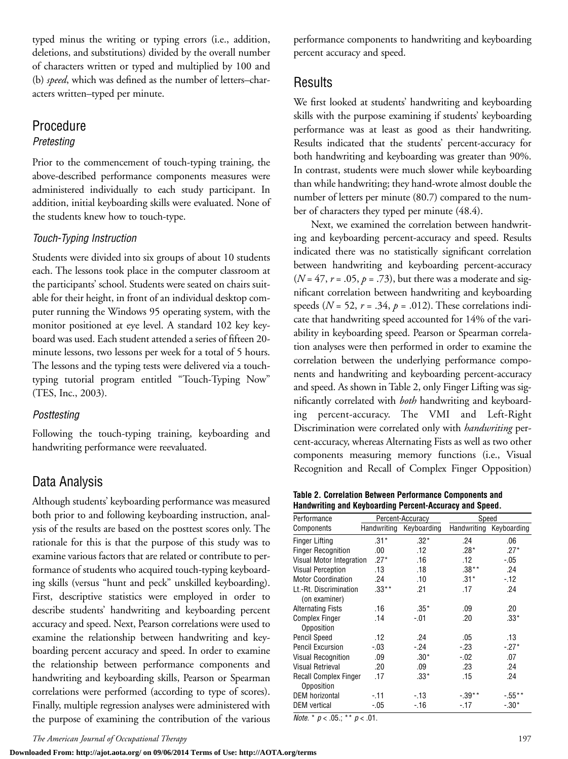typed minus the writing or typing errors (i.e., addition, deletions, and substitutions) divided by the overall number of characters written or typed and multiplied by 100 and (b) *speed*, which was defined as the number of letters–characters written–typed per minute.

#### Procedure *Pretesting*

Prior to the commencement of touch-typing training, the above-described performance components measures were administered individually to each study participant. In addition, initial keyboarding skills were evaluated. None of the students knew how to touch-type.

#### *Touch-Typing Instruction*

Students were divided into six groups of about 10 students each. The lessons took place in the computer classroom at the participants' school. Students were seated on chairs suitable for their height, in front of an individual desktop computer running the Windows 95 operating system, with the monitor positioned at eye level. A standard 102 key keyboard was used. Each student attended a series of fifteen 20 minute lessons, two lessons per week for a total of 5 hours. The lessons and the typing tests were delivered via a touchtyping tutorial program entitled "Touch-Typing Now" (TES, Inc., 2003).

#### *Posttesting*

Following the touch-typing training, keyboarding and handwriting performance were reevaluated.

# Data Analysis

Although students' keyboarding performance was measured both prior to and following keyboarding instruction, analysis of the results are based on the posttest scores only. The rationale for this is that the purpose of this study was to examine various factors that are related or contribute to performance of students who acquired touch-typing keyboarding skills (versus "hunt and peck" unskilled keyboarding). First, descriptive statistics were employed in order to describe students' handwriting and keyboarding percent accuracy and speed. Next, Pearson correlations were used to examine the relationship between handwriting and keyboarding percent accuracy and speed. In order to examine the relationship between performance components and handwriting and keyboarding skills, Pearson or Spearman correlations were performed (according to type of scores). Finally, multiple regression analyses were administered with the purpose of examining the contribution of the various performance components to handwriting and keyboarding percent accuracy and speed.

## Results

We first looked at students' handwriting and keyboarding skills with the purpose examining if students' keyboarding performance was at least as good as their handwriting. Results indicated that the students' percent-accuracy for both handwriting and keyboarding was greater than 90%. In contrast, students were much slower while keyboarding than while handwriting; they hand-wrote almost double the number of letters per minute (80.7) compared to the number of characters they typed per minute (48.4).

Next, we examined the correlation between handwriting and keyboarding percent-accuracy and speed. Results indicated there was no statistically significant correlation between handwriting and keyboarding percent-accuracy  $(N = 47, r = .05, p = .73)$ , but there was a moderate and significant correlation between handwriting and keyboarding speeds ( $N = 52$ ,  $r = .34$ ,  $p = .012$ ). These correlations indicate that handwriting speed accounted for 14% of the variability in keyboarding speed. Pearson or Spearman correlation analyses were then performed in order to examine the correlation between the underlying performance components and handwriting and keyboarding percent-accuracy and speed. As shown in Table 2, only Finger Lifting was significantly correlated with *both* handwriting and keyboarding percent-accuracy. The VMI and Left-Right Discrimination were correlated only with *handwriting* percent-accuracy, whereas Alternating Fists as well as two other components measuring memory functions (i.e., Visual Recognition and Recall of Complex Finger Opposition)

|  | Table 2. Correlation Between Performance Components and |
|--|---------------------------------------------------------|
|  | Handwriting and Keyboarding Percent-Accuracy and Speed. |

| Performance                  | Percent-Accuracy |                         | Speed     |                         |
|------------------------------|------------------|-------------------------|-----------|-------------------------|
| Components                   |                  | Handwriting Keyboarding |           | Handwriting Keyboarding |
| <b>Finger Lifting</b>        | $.31*$           | $.32*$                  | .24       | .06                     |
| <b>Finger Recognition</b>    | .00              | .12                     | $.28*$    | $.27*$                  |
| Visual Motor Integration     | $.27*$           | .16                     | .12       | $-05$                   |
| <b>Visual Perception</b>     | .13              | .18                     | $.38**$   | .24                     |
| <b>Motor Coordination</b>    | .24              | .10                     | $.31*$    | $-12$                   |
| Lt.-Rt. Discrimination       | $.33**$          | .21                     | .17       | .24                     |
| (on examiner)                |                  |                         |           |                         |
| <b>Alternating Fists</b>     | .16              | $.35*$                  | .09       | .20                     |
| <b>Complex Finger</b>        | .14              | -.01                    | .20       | $.33*$                  |
| Opposition                   |                  |                         |           |                         |
| <b>Pencil Speed</b>          | .12              | .24                     | .05       | .13                     |
| <b>Pencil Excursion</b>      | $-.03$           | $-24$                   | $-23$     | $-27*$                  |
| <b>Visual Recognition</b>    | .09              | $.30*$                  | $-.02$    | .07                     |
| Visual Retrieval             | .20              | .09                     | .23       | .24                     |
| <b>Recall Complex Finger</b> | .17              | $.33*$                  | .15       | .24                     |
| Opposition                   |                  |                         |           |                         |
| <b>DEM</b> horizontal        | - 11             | $-13$                   | $-0.39**$ | $-0.55**$               |
| <b>DEM</b> vertical          | -.05             | $-16$                   | $-17$     | $-.30*$                 |

*Note.* \* *p* < .05.; \*\* *p* < .01.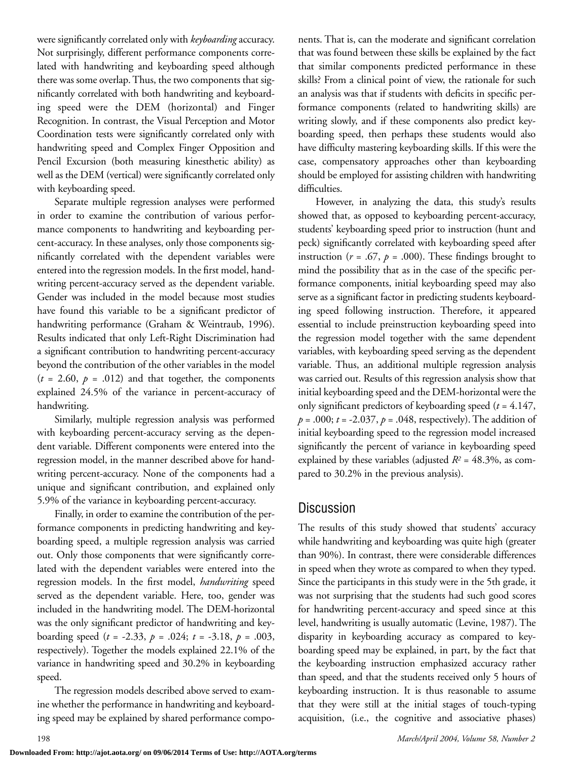were significantly correlated only with *keyboarding* accuracy. Not surprisingly, different performance components correlated with handwriting and keyboarding speed although there was some overlap. Thus, the two components that significantly correlated with both handwriting and keyboarding speed were the DEM (horizontal) and Finger Recognition. In contrast, the Visual Perception and Motor Coordination tests were significantly correlated only with handwriting speed and Complex Finger Opposition and Pencil Excursion (both measuring kinesthetic ability) as well as the DEM (vertical) were significantly correlated only with keyboarding speed.

Separate multiple regression analyses were performed in order to examine the contribution of various performance components to handwriting and keyboarding percent-accuracy. In these analyses, only those components significantly correlated with the dependent variables were entered into the regression models. In the first model, handwriting percent-accuracy served as the dependent variable. Gender was included in the model because most studies have found this variable to be a significant predictor of handwriting performance (Graham & Weintraub, 1996). Results indicated that only Left-Right Discrimination had a significant contribution to handwriting percent-accuracy beyond the contribution of the other variables in the model  $(t = 2.60, p = .012)$  and that together, the components explained 24.5% of the variance in percent-accuracy of handwriting.

Similarly, multiple regression analysis was performed with keyboarding percent-accuracy serving as the dependent variable. Different components were entered into the regression model, in the manner described above for handwriting percent-accuracy. None of the components had a unique and significant contribution, and explained only 5.9% of the variance in keyboarding percent-accuracy.

Finally, in order to examine the contribution of the performance components in predicting handwriting and keyboarding speed, a multiple regression analysis was carried out. Only those components that were significantly correlated with the dependent variables were entered into the regression models. In the first model, *handwriting* speed served as the dependent variable. Here, too, gender was included in the handwriting model. The DEM-horizontal was the only significant predictor of handwriting and keyboarding speed  $(t = -2.33, p = .024; t = -3.18, p = .003,$ respectively). Together the models explained 22.1% of the variance in handwriting speed and 30.2% in keyboarding speed.

The regression models described above served to examine whether the performance in handwriting and keyboarding speed may be explained by shared performance components. That is, can the moderate and significant correlation that was found between these skills be explained by the fact that similar components predicted performance in these skills? From a clinical point of view, the rationale for such an analysis was that if students with deficits in specific performance components (related to handwriting skills) are writing slowly, and if these components also predict keyboarding speed, then perhaps these students would also have difficulty mastering keyboarding skills. If this were the case, compensatory approaches other than keyboarding should be employed for assisting children with handwriting difficulties.

However, in analyzing the data, this study's results showed that, as opposed to keyboarding percent-accuracy, students' keyboarding speed prior to instruction (hunt and peck) significantly correlated with keyboarding speed after instruction ( $r = .67$ ,  $p = .000$ ). These findings brought to mind the possibility that as in the case of the specific performance components, initial keyboarding speed may also serve as a significant factor in predicting students keyboarding speed following instruction. Therefore, it appeared essential to include preinstruction keyboarding speed into the regression model together with the same dependent variables, with keyboarding speed serving as the dependent variable. Thus, an additional multiple regression analysis was carried out. Results of this regression analysis show that initial keyboarding speed and the DEM-horizontal were the only significant predictors of keyboarding speed (*t* = 4.147, *p* = .000; *t* = -2.037, *p* = .048, respectively). The addition of initial keyboarding speed to the regression model increased significantly the percent of variance in keyboarding speed explained by these variables (adjusted  $R^2 = 48.3\%$ , as compared to 30.2% in the previous analysis).

## Discussion

The results of this study showed that students' accuracy while handwriting and keyboarding was quite high (greater than 90%). In contrast, there were considerable differences in speed when they wrote as compared to when they typed. Since the participants in this study were in the 5th grade, it was not surprising that the students had such good scores for handwriting percent-accuracy and speed since at this level, handwriting is usually automatic (Levine, 1987). The disparity in keyboarding accuracy as compared to keyboarding speed may be explained, in part, by the fact that the keyboarding instruction emphasized accuracy rather than speed, and that the students received only 5 hours of keyboarding instruction. It is thus reasonable to assume that they were still at the initial stages of touch-typing acquisition, (i.e., the cognitive and associative phases)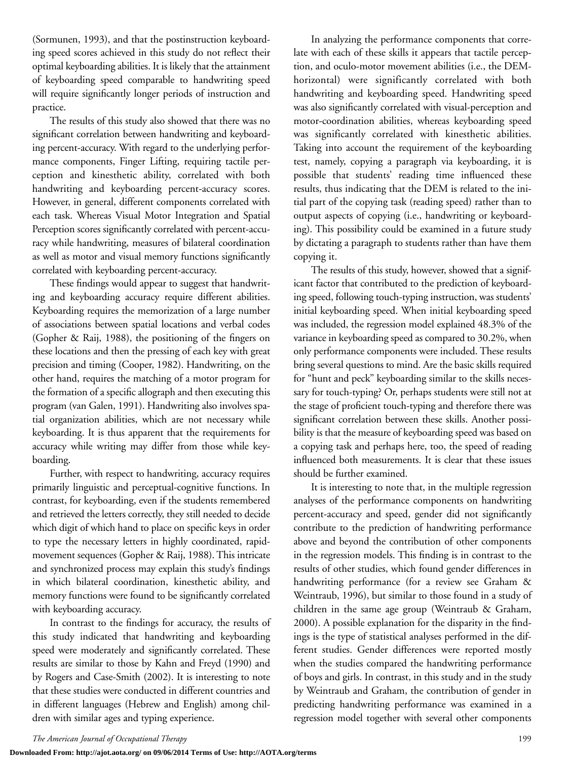(Sormunen, 1993), and that the postinstruction keyboarding speed scores achieved in this study do not reflect their optimal keyboarding abilities. It is likely that the attainment of keyboarding speed comparable to handwriting speed will require significantly longer periods of instruction and practice.

The results of this study also showed that there was no significant correlation between handwriting and keyboarding percent-accuracy. With regard to the underlying performance components, Finger Lifting, requiring tactile perception and kinesthetic ability, correlated with both handwriting and keyboarding percent-accuracy scores. However, in general, different components correlated with each task. Whereas Visual Motor Integration and Spatial Perception scores significantly correlated with percent-accuracy while handwriting, measures of bilateral coordination as well as motor and visual memory functions significantly correlated with keyboarding percent-accuracy.

These findings would appear to suggest that handwriting and keyboarding accuracy require different abilities. Keyboarding requires the memorization of a large number of associations between spatial locations and verbal codes (Gopher & Raij, 1988), the positioning of the fingers on these locations and then the pressing of each key with great precision and timing (Cooper, 1982). Handwriting, on the other hand, requires the matching of a motor program for the formation of a specific allograph and then executing this program (van Galen, 1991). Handwriting also involves spatial organization abilities, which are not necessary while keyboarding. It is thus apparent that the requirements for accuracy while writing may differ from those while keyboarding.

Further, with respect to handwriting, accuracy requires primarily linguistic and perceptual-cognitive functions. In contrast, for keyboarding, even if the students remembered and retrieved the letters correctly, they still needed to decide which digit of which hand to place on specific keys in order to type the necessary letters in highly coordinated, rapidmovement sequences (Gopher & Raij, 1988). This intricate and synchronized process may explain this study's findings in which bilateral coordination, kinesthetic ability, and memory functions were found to be significantly correlated with keyboarding accuracy.

In contrast to the findings for accuracy, the results of this study indicated that handwriting and keyboarding speed were moderately and significantly correlated. These results are similar to those by Kahn and Freyd (1990) and by Rogers and Case-Smith (2002). It is interesting to note that these studies were conducted in different countries and in different languages (Hebrew and English) among children with similar ages and typing experience.

In analyzing the performance components that correlate with each of these skills it appears that tactile perception, and oculo-motor movement abilities (i.e., the DEMhorizontal) were significantly correlated with both handwriting and keyboarding speed. Handwriting speed was also significantly correlated with visual-perception and motor-coordination abilities, whereas keyboarding speed was significantly correlated with kinesthetic abilities. Taking into account the requirement of the keyboarding test, namely, copying a paragraph via keyboarding, it is possible that students' reading time influenced these results, thus indicating that the DEM is related to the initial part of the copying task (reading speed) rather than to output aspects of copying (i.e., handwriting or keyboarding). This possibility could be examined in a future study by dictating a paragraph to students rather than have them copying it.

The results of this study, however, showed that a significant factor that contributed to the prediction of keyboarding speed, following touch-typing instruction, was students' initial keyboarding speed. When initial keyboarding speed was included, the regression model explained 48.3% of the variance in keyboarding speed as compared to 30.2%, when only performance components were included. These results bring several questions to mind. Are the basic skills required for "hunt and peck" keyboarding similar to the skills necessary for touch-typing? Or, perhaps students were still not at the stage of proficient touch-typing and therefore there was significant correlation between these skills. Another possibility is that the measure of keyboarding speed was based on a copying task and perhaps here, too, the speed of reading influenced both measurements. It is clear that these issues should be further examined.

It is interesting to note that, in the multiple regression analyses of the performance components on handwriting percent-accuracy and speed, gender did not significantly contribute to the prediction of handwriting performance above and beyond the contribution of other components in the regression models. This finding is in contrast to the results of other studies, which found gender differences in handwriting performance (for a review see Graham & Weintraub, 1996), but similar to those found in a study of children in the same age group (Weintraub & Graham, 2000). A possible explanation for the disparity in the findings is the type of statistical analyses performed in the different studies. Gender differences were reported mostly when the studies compared the handwriting performance of boys and girls. In contrast, in this study and in the study by Weintraub and Graham, the contribution of gender in predicting handwriting performance was examined in a regression model together with several other components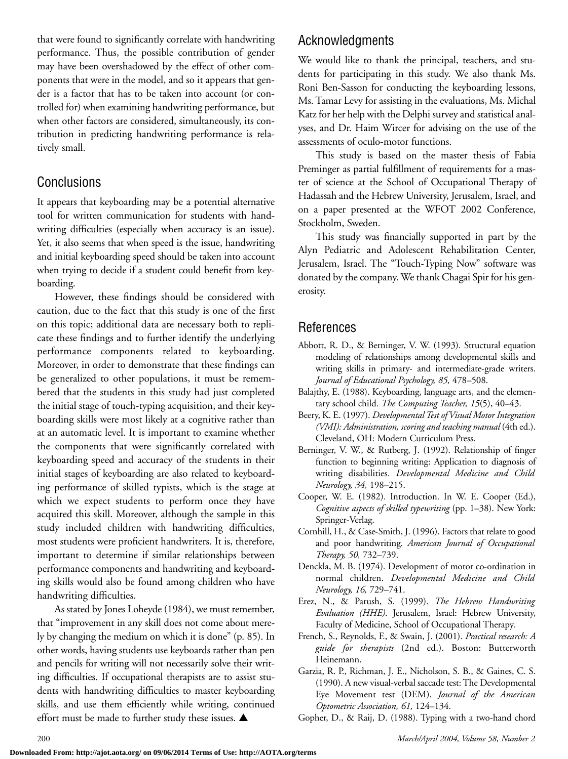that were found to significantly correlate with handwriting performance. Thus, the possible contribution of gender may have been overshadowed by the effect of other components that were in the model, and so it appears that gender is a factor that has to be taken into account (or controlled for) when examining handwriting performance, but when other factors are considered, simultaneously, its contribution in predicting handwriting performance is relatively small.

# Conclusions

It appears that keyboarding may be a potential alternative tool for written communication for students with handwriting difficulties (especially when accuracy is an issue). Yet, it also seems that when speed is the issue, handwriting and initial keyboarding speed should be taken into account when trying to decide if a student could benefit from keyboarding.

However, these findings should be considered with caution, due to the fact that this study is one of the first on this topic; additional data are necessary both to replicate these findings and to further identify the underlying performance components related to keyboarding. Moreover, in order to demonstrate that these findings can be generalized to other populations, it must be remembered that the students in this study had just completed the initial stage of touch-typing acquisition, and their keyboarding skills were most likely at a cognitive rather than at an automatic level. It is important to examine whether the components that were significantly correlated with keyboarding speed and accuracy of the students in their initial stages of keyboarding are also related to keyboarding performance of skilled typists, which is the stage at which we expect students to perform once they have acquired this skill. Moreover, although the sample in this study included children with handwriting difficulties, most students were proficient handwriters. It is, therefore, important to determine if similar relationships between performance components and handwriting and keyboarding skills would also be found among children who have handwriting difficulties.

As stated by Jones Loheyde (1984), we must remember, that "improvement in any skill does not come about merely by changing the medium on which it is done" (p. 85). In other words, having students use keyboards rather than pen and pencils for writing will not necessarily solve their writing difficulties. If occupational therapists are to assist students with handwriting difficulties to master keyboarding skills, and use them efficiently while writing, continued effort must be made to further study these issues. ▲

# Acknowledgments

We would like to thank the principal, teachers, and students for participating in this study. We also thank Ms. Roni Ben-Sasson for conducting the keyboarding lessons, Ms. Tamar Levy for assisting in the evaluations, Ms. Michal Katz for her help with the Delphi survey and statistical analyses, and Dr. Haim Wircer for advising on the use of the assessments of oculo-motor functions.

This study is based on the master thesis of Fabia Preminger as partial fulfillment of requirements for a master of science at the School of Occupational Therapy of Hadassah and the Hebrew University, Jerusalem, Israel, and on a paper presented at the WFOT 2002 Conference, Stockholm, Sweden.

This study was financially supported in part by the Alyn Pediatric and Adolescent Rehabilitation Center, Jerusalem, Israel. The "Touch-Typing Now" software was donated by the company. We thank Chagai Spir for his generosity.

# References

- Abbott, R. D., & Berninger, V. W. (1993). Structural equation modeling of relationships among developmental skills and writing skills in primary- and intermediate-grade writers. *Journal of Educational Psychology, 85,* 478–508.
- Balajthy, E. (1988). Keyboarding, language arts, and the elementary school child. *The Computing Teacher, 15*(5), 40–43.
- Beery, K. E. (1997). *Developmental Test of Visual Motor Integration (VMI): Administration, scoring and teaching manual* (4th ed.). Cleveland, OH: Modern Curriculum Press.
- Berninger, V. W., & Rutberg, J. (1992). Relationship of finger function to beginning writing: Application to diagnosis of writing disabilities. *Developmental Medicine and Child Neurology, 34,* 198–215.
- Cooper, W. E. (1982). Introduction. In W. E. Cooper (Ed.), *Cognitive aspects of skilled typewriting* (pp. 1–38). New York: Springer-Verlag.
- Cornhill, H., & Case-Smith, J. (1996). Factors that relate to good and poor handwriting. *American Journal of Occupational Therapy, 50,* 732–739.
- Denckla, M. B. (1974). Development of motor co-ordination in normal children. *Developmental Medicine and Child Neurology, 16,* 729–741.
- Erez, N., & Parush, S. (1999). *The Hebrew Handwriting Evaluation (HHE)*. Jerusalem, Israel: Hebrew University, Faculty of Medicine, School of Occupational Therapy.
- French, S., Reynolds, F., & Swain, J. (2001). *Practical research: A guide for therapists* (2nd ed.). Boston: Butterworth Heinemann.
- Garzia, R. P., Richman, J. E., Nicholson, S. B., & Gaines, C. S. (1990). A new visual-verbal saccade test: The Developmental Eye Movement test (DEM). *Journal of the American Optometric Association, 61,* 124–134.
- Gopher, D., & Raij, D. (1988). Typing with a two-hand chord